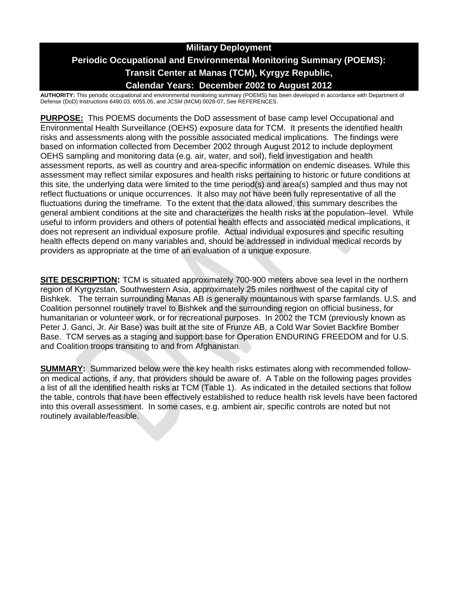# **Military Deployment Periodic Occupational and Environmental Monitoring Summary (POEMS): Transit Center at Manas (TCM), Kyrgyz Republic, Calendar Years: December 2002 to August 2012**

**AUTHORITY:** This periodic occupational and environmental monitoring summary (POEMS) has been developed in accordance with Department of Defense (DoD) Instructions 6490.03, 6055.05, and JCSM (MCM) 0028-07, See REFERENCES.

**PURPOSE:** This POEMS documents the DoD assessment of base camp level Occupational and Environmental Health Surveillance (OEHS) exposure data for TCM. It presents the identified health risks and assessments along with the possible associated medical implications. The findings were based on information collected from December 2002 through August 2012 to include deployment OEHS sampling and monitoring data (e.g. air, water, and soil), field investigation and health assessment reports, as well as country and area-specific information on endemic diseases. While this assessment may reflect similar exposures and health risks pertaining to historic or future conditions at this site, the underlying data were limited to the time period(s) and area(s) sampled and thus may not reflect fluctuations or unique occurrences. It also may not have been fully representative of all the fluctuations during the timeframe. To the extent that the data allowed, this summary describes the general ambient conditions at the site and characterizes the health risks at the population–level. While useful to inform providers and others of potential health effects and associated medical implications, it does not represent an individual exposure profile. Actual individual exposures and specific resulting health effects depend on many variables and, should be addressed in individual medical records by providers as appropriate at the time of an evaluation of a unique exposure.

**SITE DESCRIPTION:** TCM is situated approximately 700-900 meters above sea level in the northern region of Kyrgyzstan, Southwestern Asia, approximately 25 miles northwest of the capital city of Bishkek. The terrain surrounding Manas AB is generally mountainous with sparse farmlands. U.S. and Coalition personnel routinely travel to Bishkek and the surrounding region on official business, for humanitarian or volunteer work, or for recreational purposes. In 2002 the TCM (previously known as Peter J. Ganci, Jr. Air Base) was built at the site of Frunze AB, a Cold War Soviet Backfire Bomber Base. TCM serves as a staging and support base for Operation ENDURING FREEDOM and for U.S. and Coalition troops transiting to and from Afghanistan.

**SUMMARY:** Summarized below were the key health risks estimates along with recommended followon medical actions, if any, that providers should be aware of. A Table on the following pages provides a list of all the identified health risks at TCM (Table 1). As indicated in the detailed sections that follow the table, controls that have been effectively established to reduce health risk levels have been factored into this overall assessment. In some cases, e.g. ambient air, specific controls are noted but not routinely available/feasible.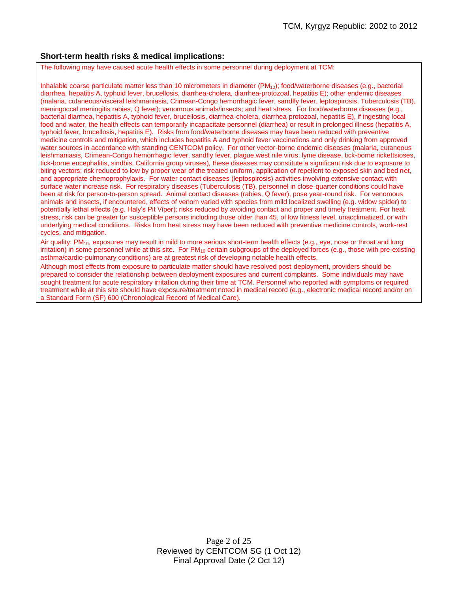## **Short-term health risks & medical implications:**

The following may have caused acute health effects in some personnel during deployment at TCM:

Inhalable coarse particulate matter less than 10 micrometers in diameter  $(PM_{10})$ ; food/waterborne diseases (e.g., bacterial diarrhea, hepatitis A, typhoid fever, brucellosis, diarrhea-cholera, diarrhea-protozoal, hepatitis E); other endemic diseases (malaria, cutaneous/visceral leishmaniasis, Crimean-Congo hemorrhagic fever, sandfly fever, leptospirosis, Tuberculosis (TB), meningoccal meningitis rabies, Q fever); venomous animals/insects; and heat stress. For food/waterborne diseases (e.g., bacterial diarrhea, hepatitis A, typhoid fever, brucellosis, diarrhea-cholera, diarrhea-protozoal, hepatitis E), if ingesting local food and water, the health effects can temporarily incapacitate personnel (diarrhea) or result in prolonged illness (hepatitis A, typhoid fever, brucellosis, hepatitis E). Risks from food/waterborne diseases may have been reduced with preventive medicine controls and mitigation, which includes hepatitis A and typhoid fever vaccinations and only drinking from approved water sources in accordance with standing CENTCOM policy. For other vector-borne endemic diseases (malaria, cutaneous leishmaniasis, Crimean-Congo hemorrhagic fever, sandfly fever, plague,west nile virus, lyme disease, tick-borne rickettsioses, tick-borne encephalitis, sindbis, California group viruses), these diseases may constitute a significant risk due to exposure to biting vectors; risk reduced to low by proper wear of the treated uniform, application of repellent to exposed skin and bed net, and appropriate chemoprophylaxis. For water contact diseases (leptospirosis) activities involving extensive contact with surface water increase risk. For respiratory diseases (Tuberculosis (TB), personnel in close-quarter conditions could have been at risk for person-to-person spread. Animal contact diseases (rabies, Q fever), pose year-round risk. For venomous animals and insects, if encountered, effects of venom varied with species from mild localized swelling (e.g. widow spider) to potentially lethal effects (e.g. Haly's Pit Viper); risks reduced by avoiding contact and proper and timely treatment. For heat stress, risk can be greater for susceptible persons including those older than 45, of low fitness level, unacclimatized, or with underlying medical conditions. Risks from heat stress may have been reduced with preventive medicine controls, work-rest cycles, and mitigation.

Air quality:  $PM_{10}$ , exposures may result in mild to more serious short-term health effects (e.g., eye, nose or throat and lung irritation) in some personnel while at this site. For  $PM_{10}$  certain subgroups of the deployed forces (e.g., those with pre-existing asthma/cardio-pulmonary conditions) are at greatest risk of developing notable health effects.

Although most effects from exposure to particulate matter should have resolved post-deployment, providers should be prepared to consider the relationship between deployment exposures and current complaints. Some individuals may have sought treatment for acute respiratory irritation during their time at TCM. Personnel who reported with symptoms or required treatment while at this site should have exposure/treatment noted in medical record (e.g., electronic medical record and/or on a Standard Form (SF) 600 (Chronological Record of Medical Care).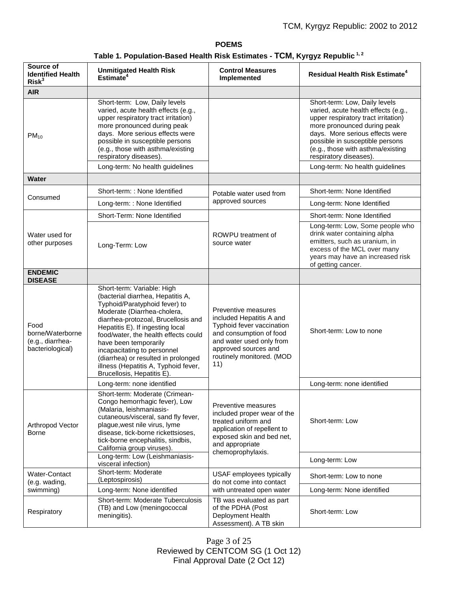# **POEMS Table 1. Population-Based Health Risk Estimates - TCM, Kyrgyz Republic 1, 2**

| Source of<br><b>Identified Health</b><br>Risk <sup>3</sup>       | <b>Unmitigated Health Risk</b><br>Estimate <sup>4</sup>                                                                                                                                                                                                                                                                                                                                                                 | <b>Control Measures</b><br>Implemented                                                                                                                                                          | <b>Residual Health Risk Estimate<sup>4</sup></b>                                                                                                                                                                                                                                |
|------------------------------------------------------------------|-------------------------------------------------------------------------------------------------------------------------------------------------------------------------------------------------------------------------------------------------------------------------------------------------------------------------------------------------------------------------------------------------------------------------|-------------------------------------------------------------------------------------------------------------------------------------------------------------------------------------------------|---------------------------------------------------------------------------------------------------------------------------------------------------------------------------------------------------------------------------------------------------------------------------------|
| <b>AIR</b>                                                       |                                                                                                                                                                                                                                                                                                                                                                                                                         |                                                                                                                                                                                                 |                                                                                                                                                                                                                                                                                 |
| $PM_{10}$                                                        | Short-term: Low, Daily levels<br>varied, acute health effects (e.g.,<br>upper respiratory tract irritation)<br>more pronounced during peak<br>days. More serious effects were<br>possible in susceptible persons<br>(e.g., those with asthma/existing<br>respiratory diseases).                                                                                                                                         |                                                                                                                                                                                                 | Short-term: Low, Daily levels<br>varied, acute health effects (e.g.,<br>upper respiratory tract irritation)<br>more pronounced during peak<br>days. More serious effects were<br>possible in susceptible persons<br>(e.g., those with asthma/existing<br>respiratory diseases). |
|                                                                  | Long-term: No health guidelines                                                                                                                                                                                                                                                                                                                                                                                         |                                                                                                                                                                                                 | Long-term: No health guidelines                                                                                                                                                                                                                                                 |
| <b>Water</b>                                                     |                                                                                                                                                                                                                                                                                                                                                                                                                         |                                                                                                                                                                                                 |                                                                                                                                                                                                                                                                                 |
| Consumed                                                         | Short-term: : None Identified                                                                                                                                                                                                                                                                                                                                                                                           | Potable water used from<br>approved sources                                                                                                                                                     | Short-term: None Identified                                                                                                                                                                                                                                                     |
|                                                                  | Long-term: : None Identified                                                                                                                                                                                                                                                                                                                                                                                            |                                                                                                                                                                                                 | Long-term: None Identified                                                                                                                                                                                                                                                      |
| Water used for<br>other purposes                                 | Short-Term: None Identified                                                                                                                                                                                                                                                                                                                                                                                             | ROWPU treatment of<br>source water                                                                                                                                                              | Short-term: None Identified                                                                                                                                                                                                                                                     |
|                                                                  | Long-Term: Low                                                                                                                                                                                                                                                                                                                                                                                                          |                                                                                                                                                                                                 | Long-term: Low, Some people who<br>drink water containing alpha<br>emitters, such as uranium, in<br>excess of the MCL over many<br>years may have an increased risk<br>of getting cancer.                                                                                       |
| <b>ENDEMIC</b><br><b>DISEASE</b>                                 |                                                                                                                                                                                                                                                                                                                                                                                                                         |                                                                                                                                                                                                 |                                                                                                                                                                                                                                                                                 |
| Food<br>borne/Waterborne<br>(e.g., diarrhea-<br>bacteriological) | Short-term: Variable: High<br>(bacterial diarrhea, Hepatitis A,<br>Typhoid/Paratyphoid fever) to<br>Moderate (Diarrhea-cholera,<br>diarrhea-protozoal, Brucellosis and<br>Hepatitis E). If ingesting local<br>food/water, the health effects could<br>have been temporarily<br>incapacitating to personnel<br>(diarrhea) or resulted in prolonged<br>illness (Hepatitis A, Typhoid fever,<br>Brucellosis, Hepatitis E). | Preventive measures<br>included Hepatitis A and<br>Typhoid fever vaccination<br>and consumption of food<br>and water used only from<br>approved sources and<br>routinely monitored. (MOD<br>11) | Short-term: Low to none                                                                                                                                                                                                                                                         |
|                                                                  | Long-term: none identified                                                                                                                                                                                                                                                                                                                                                                                              |                                                                                                                                                                                                 | Long-term: none identified                                                                                                                                                                                                                                                      |
| Arthropod Vector<br>Borne                                        | Short-term: Moderate (Crimean-<br>Congo hemorrhagic fever), Low<br>(Malaria, leishmaniasis-<br>cutaneous/visceral, sand fly fever,<br>plague, west nile virus, lyme<br>disease, tick-borne rickettsioses,<br>tick-borne encephalitis, sindbis,<br>California group viruses).                                                                                                                                            | Preventive measures<br>included proper wear of the<br>treated uniform and<br>application of repellent to<br>exposed skin and bed net,<br>and appropriate<br>chemoprophylaxis.                   | Short-term: Low                                                                                                                                                                                                                                                                 |
|                                                                  | Long-term: Low (Leishmaniasis-<br>visceral infection)                                                                                                                                                                                                                                                                                                                                                                   |                                                                                                                                                                                                 | Long-term: Low                                                                                                                                                                                                                                                                  |
| Water-Contact<br>(e.g. wading,<br>swimming)                      | Short-term: Moderate<br>(Leptospirosis)                                                                                                                                                                                                                                                                                                                                                                                 | USAF employees typically<br>do not come into contact<br>with untreated open water                                                                                                               | Short-term: Low to none                                                                                                                                                                                                                                                         |
|                                                                  | Long-term: None identified                                                                                                                                                                                                                                                                                                                                                                                              |                                                                                                                                                                                                 | Long-term: None identified                                                                                                                                                                                                                                                      |
| Respiratory                                                      | Short-term: Moderate Tuberculosis<br>(TB) and Low (meningococcal<br>meningitis).                                                                                                                                                                                                                                                                                                                                        | TB was evaluated as part<br>of the PDHA (Post<br>Deployment Health<br>Assessment). A TB skin                                                                                                    | Short-term: Low                                                                                                                                                                                                                                                                 |

Page 3 of 25 Reviewed by CENTCOM SG (1 Oct 12) Final Approval Date (2 Oct 12)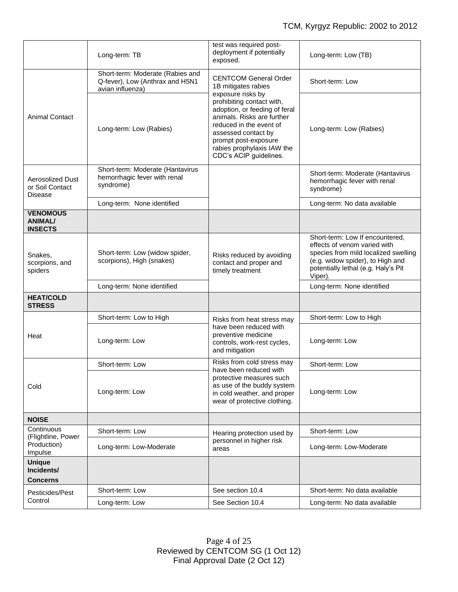|                                                     | Long-term: TB                                                                           | test was required post-<br>deployment if potentially<br>exposed.                                                                                                                                                                                                                                       | Long-term: Low (TB)                                                                                                                                                                           |
|-----------------------------------------------------|-----------------------------------------------------------------------------------------|--------------------------------------------------------------------------------------------------------------------------------------------------------------------------------------------------------------------------------------------------------------------------------------------------------|-----------------------------------------------------------------------------------------------------------------------------------------------------------------------------------------------|
| <b>Animal Contact</b>                               | Short-term: Moderate (Rabies and<br>Q-fever), Low (Anthrax and H5N1<br>avian influenza) | <b>CENTCOM General Order</b><br>1B mitigates rabies<br>exposure risks by<br>prohibiting contact with,<br>adoption, or feeding of feral<br>animals. Risks are further<br>reduced in the event of<br>assessed contact by<br>prompt post-exposure<br>rabies prophylaxis IAW the<br>CDC's ACIP guidelines. | Short-term: Low                                                                                                                                                                               |
|                                                     | Long-term: Low (Rabies)                                                                 |                                                                                                                                                                                                                                                                                                        | Long-term: Low (Rabies)                                                                                                                                                                       |
| Aerosolized Dust<br>or Soil Contact<br>Disease      | Short-term: Moderate (Hantavirus<br>hemorrhagic fever with renal<br>syndrome)           |                                                                                                                                                                                                                                                                                                        | Short-term: Moderate (Hantavirus<br>hemorrhagic fever with renal<br>syndrome)                                                                                                                 |
|                                                     | Long-term: None identified                                                              |                                                                                                                                                                                                                                                                                                        | Long-term: No data available                                                                                                                                                                  |
| <b>VENOMOUS</b><br><b>ANIMAL/</b><br><b>INSECTS</b> |                                                                                         |                                                                                                                                                                                                                                                                                                        |                                                                                                                                                                                               |
| Snakes,<br>scorpions, and<br>spiders                | Short-term: Low (widow spider,<br>scorpions), High (snakes)                             | Risks reduced by avoiding<br>contact and proper and<br>timely treatment                                                                                                                                                                                                                                | Short-term: Low If encountered,<br>effects of venom varied with<br>species from mild localized swelling<br>(e.g. widow spider), to High and<br>potentially lethal (e.g. Haly's Pit<br>Viper). |
|                                                     | Long-term: None identified                                                              |                                                                                                                                                                                                                                                                                                        | Long-term: None identified                                                                                                                                                                    |
| <b>HEAT/COLD</b><br><b>STRESS</b>                   |                                                                                         |                                                                                                                                                                                                                                                                                                        |                                                                                                                                                                                               |
|                                                     | Short-term: Low to High                                                                 | Risks from heat stress may                                                                                                                                                                                                                                                                             | Short-term: Low to High                                                                                                                                                                       |
| Heat                                                | Long-term: Low                                                                          | have been reduced with<br>preventive medicine<br>controls, work-rest cycles,<br>and mitigation                                                                                                                                                                                                         | Long-term: Low                                                                                                                                                                                |
| Cold                                                | Short-term: Low                                                                         | Risks from cold stress may                                                                                                                                                                                                                                                                             | Short-term: Low                                                                                                                                                                               |
|                                                     | Long-term: Low                                                                          | have been reduced with<br>protective measures such<br>as use of the buddy system<br>in cold weather, and proper<br>wear of protective clothing.                                                                                                                                                        | Long-term: Low                                                                                                                                                                                |
| <b>NOISE</b>                                        |                                                                                         |                                                                                                                                                                                                                                                                                                        |                                                                                                                                                                                               |
| Continuous<br>(Flightline, Power                    | Short-term: Low                                                                         | Hearing protection used by<br>personnel in higher risk<br>areas                                                                                                                                                                                                                                        | Short-term: Low                                                                                                                                                                               |
| Production)<br>Impulse                              | Long-term: Low-Moderate                                                                 |                                                                                                                                                                                                                                                                                                        | Long-term: Low-Moderate                                                                                                                                                                       |
| <b>Unique</b><br>Incidents/                         |                                                                                         |                                                                                                                                                                                                                                                                                                        |                                                                                                                                                                                               |
| <b>Concerns</b><br>Pesticides/Pest<br>Control       | Short-term: Low                                                                         | See section 10.4                                                                                                                                                                                                                                                                                       | Short-term: No data available                                                                                                                                                                 |
|                                                     | Long-term: Low                                                                          | See Section 10.4                                                                                                                                                                                                                                                                                       | Long-term: No data available                                                                                                                                                                  |
|                                                     |                                                                                         |                                                                                                                                                                                                                                                                                                        |                                                                                                                                                                                               |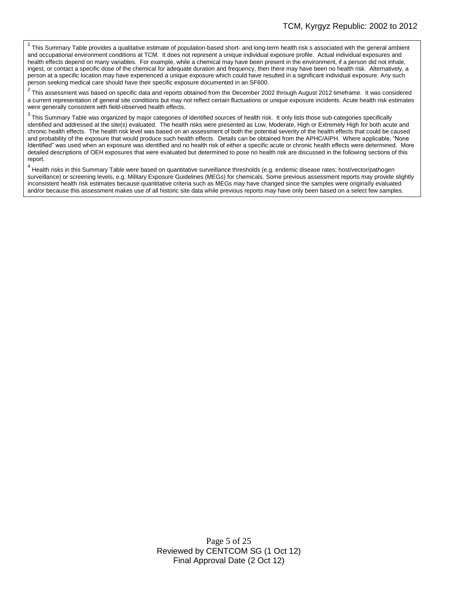1 This Summary Table provides a qualitative estimate of population-based short- and long-term health risk s associated with the general ambient and occupational environment conditions at TCM. It does not represent a unique individual exposure profile. Actual individual exposures and health effects depend on many variables. For example, while a chemical may have been present in the environment, if a person did not inhale, ingest, or contact a specific dose of the chemical for adequate duration and frequency, then there may have been no health risk. Alternatively, a person at a specific location may have experienced a unique exposure which could have resulted in a significant individual exposure. Any such person seeking medical care should have their specific exposure documented in an SF600.

2 This assessment was based on specific data and reports obtained from the December 2002 through August 2012 timeframe. It was considered a current representation of general site conditions but may not reflect certain fluctuations or unique exposure incidents. Acute health risk estimates were generally consistent with field-observed health effects.

 $3$  This Summary Table was organized by major categories of identified sources of health risk. It only lists those sub-categories specifically identified and addressed at the site(s) evaluated. The health risks were presented as Low, Moderate, High or Extremely High for both acute and chronic health effects. The health risk level was based on an assessment of both the potential severity of the health effects that could be caused and probability of the exposure that would produce such health effects. Details can be obtained from the APHC/AIPH. Where applicable, "None Identified" was used when an exposure was identified and no health risk of either a specific acute or chronic health effects were determined. More detailed descriptions of OEH exposures that were evaluated but determined to pose no health risk are discussed in the following sections of this report.

<sup>4</sup> Health risks in this Summary Table were based on quantitative surveillance thresholds (e.g. endemic disease rates; host/vector/pathogen surveillance) or screening levels, e.g. Military Exposure Guidelines (MEGs) for chemicals. Some previous assessment reports may provide slightly inconsistent health risk estimates because quantitative criteria such as MEGs may have changed since the samples were originally evaluated and/or because this assessment makes use of all historic site data while previous reports may have only been based on a select few samples.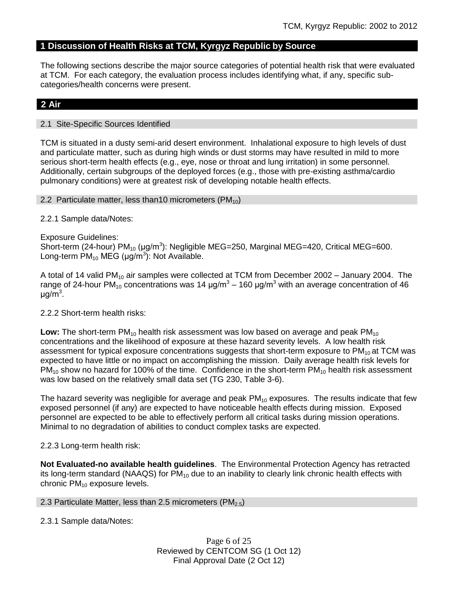# **1 Discussion of Health Risks at TCM, Kyrgyz Republic by Source**

The following sections describe the major source categories of potential health risk that were evaluated at TCM. For each category, the evaluation process includes identifying what, if any, specific subcategories/health concerns were present.

# **2 Air**

## 2.1 Site-Specific Sources Identified

TCM is situated in a dusty semi-arid desert environment. Inhalational exposure to high levels of dust and particulate matter, such as during high winds or dust storms may have resulted in mild to more serious short-term health effects (e.g., eye, nose or throat and lung irritation) in some personnel. Additionally, certain subgroups of the deployed forces (e.g., those with pre-existing asthma/cardio pulmonary conditions) were at greatest risk of developing notable health effects.

## 2.2 Particulate matter, less than 10 micrometers (PM<sub>10</sub>)

## 2.2.1 Sample data/Notes:

Exposure Guidelines:

Short-term (24-hour)  $PM_{10}$  (µg/m<sup>3</sup>): Negligible MEG=250, Marginal MEG=420, Critical MEG=600. Long-term  $PM_{10}$  MEG (µg/m<sup>3</sup>): Not Available.

A total of 14 valid PM<sub>10</sub> air samples were collected at TCM from December 2002 – January 2004. The range of 24-hour PM<sub>10</sub> concentrations was 14 μg/m<sup>3</sup> – 160 μg/m<sup>3</sup> with an average concentration of 46 μg/m<sup>3</sup>.

## 2.2.2 Short-term health risks:

**Low:** The short-term PM<sub>10</sub> health risk assessment was low based on average and peak PM<sub>10</sub> concentrations and the likelihood of exposure at these hazard severity levels. A low health risk assessment for typical exposure concentrations suggests that short-term exposure to  $PM_{10}$  at TCM was expected to have little or no impact on accomplishing the mission. Daily average health risk levels for  $PM_{10}$  show no hazard for 100% of the time. Confidence in the short-term  $PM_{10}$  health risk assessment was low based on the relatively small data set (TG 230, Table 3-6).

The hazard severity was negligible for average and peak  $PM_{10}$  exposures. The results indicate that few exposed personnel (if any) are expected to have noticeable health effects during mission. Exposed personnel are expected to be able to effectively perform all critical tasks during mission operations. Minimal to no degradation of abilities to conduct complex tasks are expected.

# 2.2.3 Long-term health risk:

**Not Evaluated-no available health guidelines**. The Environmental Protection Agency has retracted its long-term standard (NAAQS) for  $PM_{10}$  due to an inability to clearly link chronic health effects with chronic  $PM_{10}$  exposure levels.

2.3 Particulate Matter, less than 2.5 micrometers (PM<sub>2.5</sub>)

## 2.3.1 Sample data/Notes: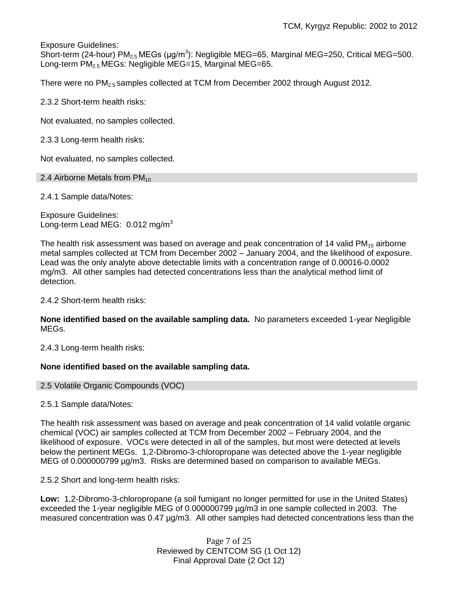Exposure Guidelines:

Short-term (24-hour) PM<sub>2.5</sub> MEGs (µg/m<sup>3</sup>): Negligible MEG=65, Marginal MEG=250, Critical MEG=500. Long-term PM<sub>2.5</sub> MEGs: Negligible MEG=15, Marginal MEG=65.

There were no PM<sub>2.5</sub> samples collected at TCM from December 2002 through August 2012.

2.3.2 Short-term health risks:

Not evaluated, no samples collected.

2.3.3 Long-term health risks:

Not evaluated, no samples collected.

2.4 Airborne Metals from  $PM_{10}$ 

2.4.1 Sample data/Notes:

Exposure Guidelines: Long-term Lead MEG: 0.012 mg/m<sup>3</sup>

The health risk assessment was based on average and peak concentration of 14 valid  $PM_{10}$  airborne metal samples collected at TCM from December 2002 – January 2004, and the likelihood of exposure. Lead was the only analyte above detectable limits with a concentration range of 0.00016-0.0002 mg/m3. All other samples had detected concentrations less than the analytical method limit of detection.

2.4.2 Short-term health risks:

**None identified based on the available sampling data.** No parameters exceeded 1-year Negligible MEGs.

2.4.3 Long-term health risks:

# **None identified based on the available sampling data.**

## 2.5 Volatile Organic Compounds (VOC)

2.5.1 Sample data/Notes:

The health risk assessment was based on average and peak concentration of 14 valid volatile organic chemical (VOC) air samples collected at TCM from December 2002 – February 2004, and the likelihood of exposure. VOCs were detected in all of the samples, but most were detected at levels below the pertinent MEGs. 1,2-Dibromo-3-chloropropane was detected above the 1-year negligible MEG of 0.000000799 µg/m3. Risks are determined based on comparison to available MEGs.

2.5.2 Short and long-term health risks:

**Low:** 1,2-Dibromo-3-chloropropane (a soil fumigant no longer permitted for use in the United States) exceeded the 1-year negligible MEG of 0.000000799 µg/m3 in one sample collected in 2003. The measured concentration was 0.47 µg/m3. All other samples had detected concentrations less than the

> Page 7 of 25 Reviewed by CENTCOM SG (1 Oct 12) Final Approval Date (2 Oct 12)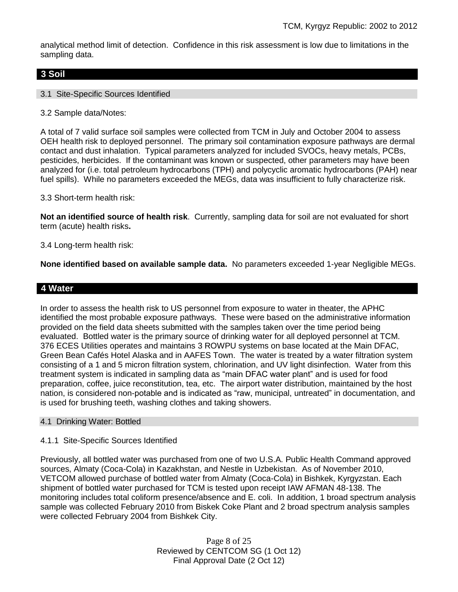analytical method limit of detection. Confidence in this risk assessment is low due to limitations in the sampling data.

# **3 Soil**

## 3.1 Site-Specific Sources Identified

3.2 Sample data/Notes:

A total of 7 valid surface soil samples were collected from TCM in July and October 2004 to assess OEH health risk to deployed personnel. The primary soil contamination exposure pathways are dermal contact and dust inhalation. Typical parameters analyzed for included SVOCs, heavy metals, PCBs, pesticides, herbicides. If the contaminant was known or suspected, other parameters may have been analyzed for (i.e. total petroleum hydrocarbons (TPH) and polycyclic aromatic hydrocarbons (PAH) near fuel spills). While no parameters exceeded the MEGs, data was insufficient to fully characterize risk.

3.3 Short-term health risk:

**Not an identified source of health risk**. Currently, sampling data for soil are not evaluated for short term (acute) health risks**.**

3.4 Long-term health risk:

**None identified based on available sample data.** No parameters exceeded 1-year Negligible MEGs.

# **4 Water**

In order to assess the health risk to US personnel from exposure to water in theater, the APHC identified the most probable exposure pathways. These were based on the administrative information provided on the field data sheets submitted with the samples taken over the time period being evaluated. Bottled water is the primary source of drinking water for all deployed personnel at TCM. 376 ECES Utilities operates and maintains 3 ROWPU systems on base located at the Main DFAC, Green Bean Cafés Hotel Alaska and in AAFES Town. The water is treated by a water filtration system consisting of a 1 and 5 micron filtration system, chlorination, and UV light disinfection. Water from this treatment system is indicated in sampling data as "main DFAC water plant" and is used for food preparation, coffee, juice reconstitution, tea, etc. The airport water distribution, maintained by the host nation, is considered non-potable and is indicated as "raw, municipal, untreated" in documentation, and is used for brushing teeth, washing clothes and taking showers.

## 4.1 Drinking Water: Bottled

## 4.1.1 Site-Specific Sources Identified

Previously, all bottled water was purchased from one of two U.S.A. Public Health Command approved sources, Almaty (Coca-Cola) in Kazakhstan, and Nestle in Uzbekistan. As of November 2010, VETCOM allowed purchase of bottled water from Almaty (Coca-Cola) in Bishkek, Kyrgyzstan. Each shipment of bottled water purchased for TCM is tested upon receipt IAW AFMAN 48-138. The monitoring includes total coliform presence/absence and E. coli. In addition, 1 broad spectrum analysis sample was collected February 2010 from Biskek Coke Plant and 2 broad spectrum analysis samples were collected February 2004 from Bishkek City.

> Page 8 of 25 Reviewed by CENTCOM SG (1 Oct 12) Final Approval Date (2 Oct 12)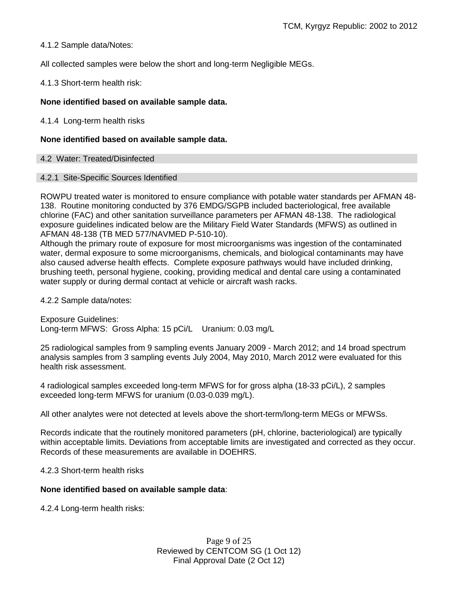4.1.2 Sample data/Notes:

All collected samples were below the short and long-term Negligible MEGs.

4.1.3 Short-term health risk:

# **None identified based on available sample data.**

4.1.4 Long-term health risks

## **None identified based on available sample data.**

4.2 Water: Treated/Disinfected

## 4.2.1 Site-Specific Sources Identified

ROWPU treated water is monitored to ensure compliance with potable water standards per AFMAN 48- 138. Routine monitoring conducted by 376 EMDG/SGPB included bacteriological, free available chlorine (FAC) and other sanitation surveillance parameters per AFMAN 48-138. The radiological exposure guidelines indicated below are the Military Field Water Standards (MFWS) as outlined in AFMAN 48-138 (TB MED 577/NAVMED P-510-10).

Although the primary route of exposure for most microorganisms was ingestion of the contaminated water, dermal exposure to some microorganisms, chemicals, and biological contaminants may have also caused adverse health effects. Complete exposure pathways would have included drinking, brushing teeth, personal hygiene, cooking, providing medical and dental care using a contaminated water supply or during dermal contact at vehicle or aircraft wash racks.

4.2.2 Sample data/notes:

Exposure Guidelines: Long-term MFWS: Gross Alpha: 15 pCi/L Uranium: 0.03 mg/L

25 radiological samples from 9 sampling events January 2009 - March 2012; and 14 broad spectrum analysis samples from 3 sampling events July 2004, May 2010, March 2012 were evaluated for this health risk assessment.

4 radiological samples exceeded long-term MFWS for for gross alpha (18-33 pCi/L), 2 samples exceeded long-term MFWS for uranium (0.03-0.039 mg/L).

All other analytes were not detected at levels above the short-term/long-term MEGs or MFWSs.

Records indicate that the routinely monitored parameters (pH, chlorine, bacteriological) are typically within acceptable limits. Deviations from acceptable limits are investigated and corrected as they occur. Records of these measurements are available in DOEHRS.

4.2.3 Short-term health risks

## **None identified based on available sample data**:

4.2.4 Long-term health risks:

Page 9 of 25 Reviewed by CENTCOM SG (1 Oct 12) Final Approval Date (2 Oct 12)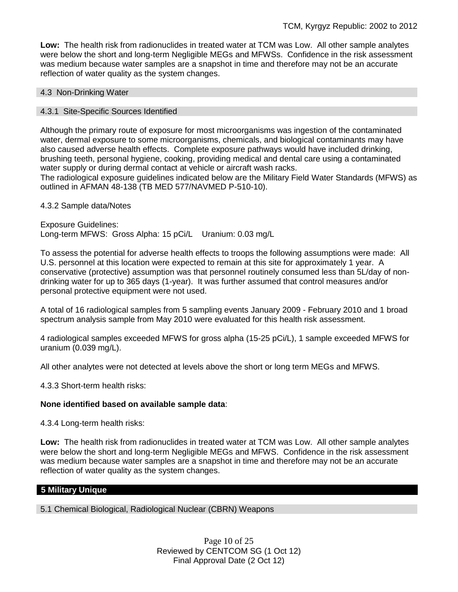**Low:** The health risk from radionuclides in treated water at TCM was Low. All other sample analytes were below the short and long-term Negligible MEGs and MFWSs. Confidence in the risk assessment was medium because water samples are a snapshot in time and therefore may not be an accurate reflection of water quality as the system changes.

## 4.3 Non-Drinking Water

## 4.3.1 Site-Specific Sources Identified

Although the primary route of exposure for most microorganisms was ingestion of the contaminated water, dermal exposure to some microorganisms, chemicals, and biological contaminants may have also caused adverse health effects. Complete exposure pathways would have included drinking, brushing teeth, personal hygiene, cooking, providing medical and dental care using a contaminated water supply or during dermal contact at vehicle or aircraft wash racks.

The radiological exposure guidelines indicated below are the Military Field Water Standards (MFWS) as outlined in AFMAN 48-138 (TB MED 577/NAVMED P-510-10).

## 4.3.2 Sample data/Notes

Exposure Guidelines: Long-term MFWS: Gross Alpha: 15 pCi/L Uranium: 0.03 mg/L

To assess the potential for adverse health effects to troops the following assumptions were made: All U.S. personnel at this location were expected to remain at this site for approximately 1 year. A conservative (protective) assumption was that personnel routinely consumed less than 5L/day of nondrinking water for up to 365 days (1-year). It was further assumed that control measures and/or personal protective equipment were not used.

A total of 16 radiological samples from 5 sampling events January 2009 - February 2010 and 1 broad spectrum analysis sample from May 2010 were evaluated for this health risk assessment.

4 radiological samples exceeded MFWS for gross alpha (15-25 pCi/L), 1 sample exceeded MFWS for uranium (0.039 mg/L).

All other analytes were not detected at levels above the short or long term MEGs and MFWS.

4.3.3 Short-term health risks:

# **None identified based on available sample data**:

4.3.4 Long-term health risks:

**Low:** The health risk from radionuclides in treated water at TCM was Low. All other sample analytes were below the short and long-term Negligible MEGs and MFWS. Confidence in the risk assessment was medium because water samples are a snapshot in time and therefore may not be an accurate reflection of water quality as the system changes.

## **5 Military Unique**

5.1 Chemical Biological, Radiological Nuclear (CBRN) Weapons

Page 10 of 25 Reviewed by CENTCOM SG (1 Oct 12) Final Approval Date (2 Oct 12)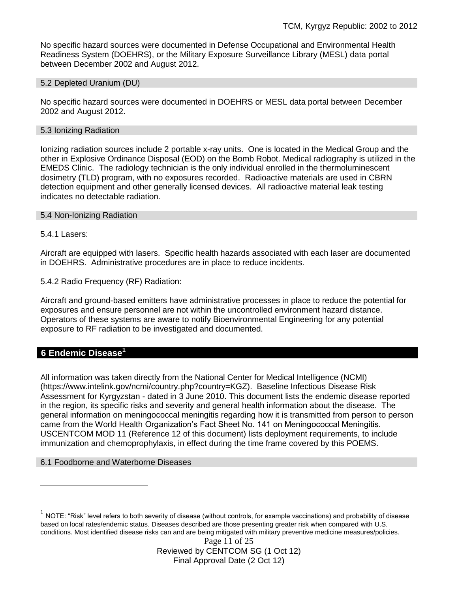No specific hazard sources were documented in Defense Occupational and Environmental Health Readiness System (DOEHRS), or the Military Exposure Surveillance Library (MESL) data portal between December 2002 and August 2012.

5.2 Depleted Uranium (DU)

No specific hazard sources were documented in DOEHRS or MESL data portal between December 2002 and August 2012.

#### 5.3 Ionizing Radiation

Ionizing radiation sources include 2 portable x-ray units. One is located in the Medical Group and the other in Explosive Ordinance Disposal (EOD) on the Bomb Robot. Medical radiography is utilized in the EMEDS Clinic. The radiology technician is the only individual enrolled in the thermoluminescent dosimetry (TLD) program, with no exposures recorded. Radioactive materials are used in CBRN detection equipment and other generally licensed devices. All radioactive material leak testing indicates no detectable radiation.

#### 5.4 Non-Ionizing Radiation

5.4.1 Lasers:

Aircraft are equipped with lasers. Specific health hazards associated with each laser are documented in DOEHRS. Administrative procedures are in place to reduce incidents.

5.4.2 Radio Frequency (RF) Radiation:

Aircraft and ground-based emitters have administrative processes in place to reduce the potential for exposures and ensure personnel are not within the uncontrolled environment hazard distance. Operators of these systems are aware to notify Bioenvironmental Engineering for any potential exposure to RF radiation to be investigated and documented.

# **6 Endemic Disease<sup>1</sup>**

 $\overline{a}$ 

All information was taken directly from the National Center for Medical Intelligence (NCMI) (https://www.intelink.gov/ncmi/country.php?country=KGZ). Baseline Infectious Disease Risk Assessment for Kyrgyzstan - dated in 3 June 2010. This document lists the endemic disease reported in the region, its specific risks and severity and general health information about the disease. The general information on meningococcal meningitis regarding how it is transmitted from person to person came from the World Health Organization's Fact Sheet No. 141 on Meningococcal Meningitis. USCENTCOM MOD 11 (Reference 12 of this document) lists deployment requirements, to include immunization and chemoprophylaxis, in effect during the time frame covered by this POEMS.

## 6.1 Foodborne and Waterborne Diseases

 $^1$  NOTE: "Risk" level refers to both severity of disease (without controls, for example vaccinations) and probability of disease based on local rates/endemic status. Diseases described are those presenting greater risk when compared with U.S. conditions. Most identified disease risks can and are being mitigated with military preventive medicine measures/policies.

> Page 11 of 25 Reviewed by CENTCOM SG (1 Oct 12) Final Approval Date (2 Oct 12)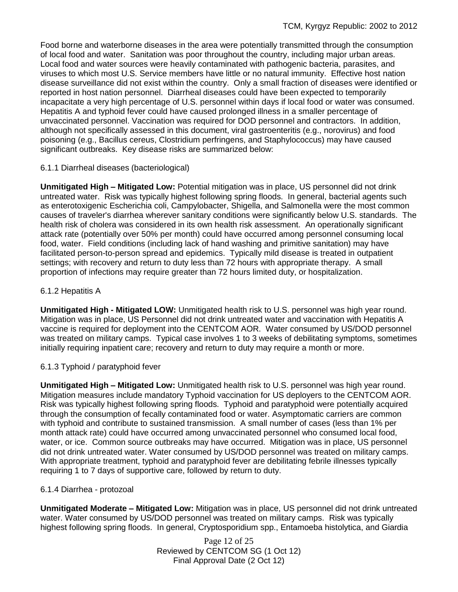Food borne and waterborne diseases in the area were potentially transmitted through the consumption of local food and water. Sanitation was poor throughout the country, including major urban areas. Local food and water sources were heavily contaminated with pathogenic bacteria, parasites, and viruses to which most U.S. Service members have little or no natural immunity. Effective host nation disease surveillance did not exist within the country. Only a small fraction of diseases were identified or reported in host nation personnel. Diarrheal diseases could have been expected to temporarily incapacitate a very high percentage of U.S. personnel within days if local food or water was consumed. Hepatitis A and typhoid fever could have caused prolonged illness in a smaller percentage of unvaccinated personnel. Vaccination was required for DOD personnel and contractors. In addition, although not specifically assessed in this document, viral gastroenteritis (e.g., norovirus) and food poisoning (e.g., Bacillus cereus, Clostridium perfringens, and Staphylococcus) may have caused significant outbreaks. Key disease risks are summarized below:

# 6.1.1 Diarrheal diseases (bacteriological)

**Unmitigated High – Mitigated Low:** Potential mitigation was in place, US personnel did not drink untreated water. Risk was typically highest following spring floods. In general, bacterial agents such as enterotoxigenic Escherichia coli, Campylobacter, Shigella, and Salmonella were the most common causes of traveler's diarrhea wherever sanitary conditions were significantly below U.S. standards. The health risk of cholera was considered in its own health risk assessment. An operationally significant attack rate (potentially over 50% per month) could have occurred among personnel consuming local food, water. Field conditions (including lack of hand washing and primitive sanitation) may have facilitated person-to-person spread and epidemics. Typically mild disease is treated in outpatient settings; with recovery and return to duty less than 72 hours with appropriate therapy. A small proportion of infections may require greater than 72 hours limited duty, or hospitalization.

# 6.1.2 Hepatitis A

**Unmitigated High - Mitigated LOW:** Unmitigated health risk to U.S. personnel was high year round. Mitigation was in place, US Personnel did not drink untreated water and vaccination with Hepatitis A vaccine is required for deployment into the CENTCOM AOR. Water consumed by US/DOD personnel was treated on military camps. Typical case involves 1 to 3 weeks of debilitating symptoms, sometimes initially requiring inpatient care; recovery and return to duty may require a month or more.

# 6.1.3 Typhoid / paratyphoid fever

**Unmitigated High – Mitigated Low:** Unmitigated health risk to U.S. personnel was high year round. Mitigation measures include mandatory Typhoid vaccination for US deployers to the CENTCOM AOR. Risk was typically highest following spring floods. Typhoid and paratyphoid were potentially acquired through the consumption of fecally contaminated food or water. Asymptomatic carriers are common with typhoid and contribute to sustained transmission. A small number of cases (less than 1% per month attack rate) could have occurred among unvaccinated personnel who consumed local food, water, or ice. Common source outbreaks may have occurred. Mitigation was in place, US personnel did not drink untreated water. Water consumed by US/DOD personnel was treated on military camps. With appropriate treatment, typhoid and paratyphoid fever are debilitating febrile illnesses typically requiring 1 to 7 days of supportive care, followed by return to duty.

# 6.1.4 Diarrhea - protozoal

**Unmitigated Moderate – Mitigated Low:** Mitigation was in place, US personnel did not drink untreated water. Water consumed by US/DOD personnel was treated on military camps. Risk was typically highest following spring floods. In general, Cryptosporidium spp., Entamoeba histolytica, and Giardia

> Page 12 of 25 Reviewed by CENTCOM SG (1 Oct 12) Final Approval Date (2 Oct 12)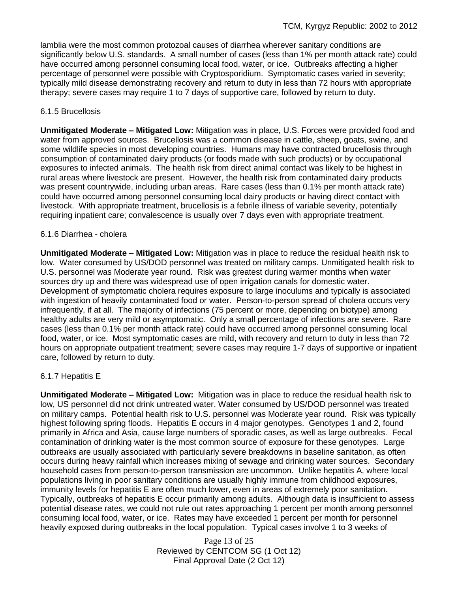lamblia were the most common protozoal causes of diarrhea wherever sanitary conditions are significantly below U.S. standards. A small number of cases (less than 1% per month attack rate) could have occurred among personnel consuming local food, water, or ice. Outbreaks affecting a higher percentage of personnel were possible with Cryptosporidium. Symptomatic cases varied in severity; typically mild disease demonstrating recovery and return to duty in less than 72 hours with appropriate therapy; severe cases may require 1 to 7 days of supportive care, followed by return to duty.

## 6.1.5 Brucellosis

**Unmitigated Moderate – Mitigated Low:** Mitigation was in place, U.S. Forces were provided food and water from approved sources. Brucellosis was a common disease in cattle, sheep, goats, swine, and some wildlife species in most developing countries. Humans may have contracted brucellosis through consumption of contaminated dairy products (or foods made with such products) or by occupational exposures to infected animals. The health risk from direct animal contact was likely to be highest in rural areas where livestock are present. However, the health risk from contaminated dairy products was present countrywide, including urban areas. Rare cases (less than 0.1% per month attack rate) could have occurred among personnel consuming local dairy products or having direct contact with livestock. With appropriate treatment, brucellosis is a febrile illness of variable severity, potentially requiring inpatient care; convalescence is usually over 7 days even with appropriate treatment.

## 6.1.6 Diarrhea - cholera

**Unmitigated Moderate – Mitigated Low:** Mitigation was in place to reduce the residual health risk to low. Water consumed by US/DOD personnel was treated on military camps. Unmitigated health risk to U.S. personnel was Moderate year round. Risk was greatest during warmer months when water sources dry up and there was widespread use of open irrigation canals for domestic water. Development of symptomatic cholera requires exposure to large inoculums and typically is associated with ingestion of heavily contaminated food or water. Person-to-person spread of cholera occurs very infrequently, if at all. The majority of infections (75 percent or more, depending on biotype) among healthy adults are very mild or asymptomatic. Only a small percentage of infections are severe. Rare cases (less than 0.1% per month attack rate) could have occurred among personnel consuming local food, water, or ice. Most symptomatic cases are mild, with recovery and return to duty in less than 72 hours on appropriate outpatient treatment; severe cases may require 1-7 days of supportive or inpatient care, followed by return to duty.

# 6.1.7 Hepatitis E

**Unmitigated Moderate – Mitigated Low:** Mitigation was in place to reduce the residual health risk to low, US personnel did not drink untreated water. Water consumed by US/DOD personnel was treated on military camps. Potential health risk to U.S. personnel was Moderate year round. Risk was typically highest following spring floods. Hepatitis E occurs in 4 major genotypes. Genotypes 1 and 2, found primarily in Africa and Asia, cause large numbers of sporadic cases, as well as large outbreaks. Fecal contamination of drinking water is the most common source of exposure for these genotypes. Large outbreaks are usually associated with particularly severe breakdowns in baseline sanitation, as often occurs during heavy rainfall which increases mixing of sewage and drinking water sources. Secondary household cases from person-to-person transmission are uncommon. Unlike hepatitis A, where local populations living in poor sanitary conditions are usually highly immune from childhood exposures, immunity levels for hepatitis E are often much lower, even in areas of extremely poor sanitation. Typically, outbreaks of hepatitis E occur primarily among adults. Although data is insufficient to assess potential disease rates, we could not rule out rates approaching 1 percent per month among personnel consuming local food, water, or ice. Rates may have exceeded 1 percent per month for personnel heavily exposed during outbreaks in the local population. Typical cases involve 1 to 3 weeks of

> Page 13 of 25 Reviewed by CENTCOM SG (1 Oct 12) Final Approval Date (2 Oct 12)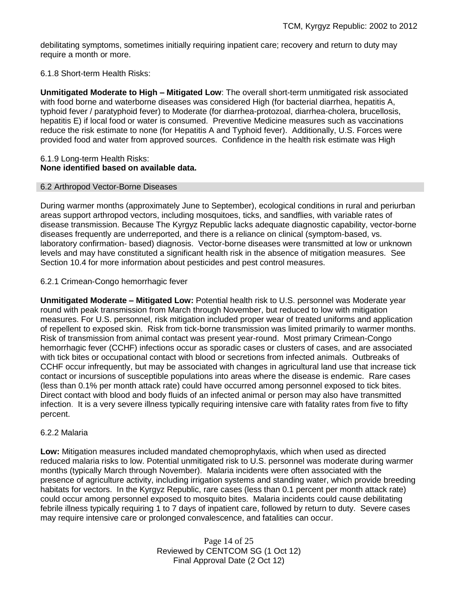debilitating symptoms, sometimes initially requiring inpatient care; recovery and return to duty may require a month or more.

## 6.1.8 Short-term Health Risks:

**Unmitigated Moderate to High – Mitigated Low**: The overall short-term unmitigated risk associated with food borne and waterborne diseases was considered High (for bacterial diarrhea, hepatitis A, typhoid fever / paratyphoid fever) to Moderate (for diarrhea-protozoal, diarrhea-cholera, brucellosis, hepatitis E) if local food or water is consumed. Preventive Medicine measures such as vaccinations reduce the risk estimate to none (for Hepatitis A and Typhoid fever).Additionally, U.S. Forces were provided food and water from approved sources. Confidence in the health risk estimate was High

## 6.1.9 Long-term Health Risks: **None identified based on available data.**

## 6.2 Arthropod Vector-Borne Diseases

During warmer months (approximately June to September), ecological conditions in rural and periurban areas support arthropod vectors, including mosquitoes, ticks, and sandflies, with variable rates of disease transmission. Because The Kyrgyz Republic lacks adequate diagnostic capability, vector-borne diseases frequently are underreported, and there is a reliance on clinical (symptom-based, vs. laboratory confirmation- based) diagnosis. Vector-borne diseases were transmitted at low or unknown levels and may have constituted a significant health risk in the absence of mitigation measures. See Section 10.4 for more information about pesticides and pest control measures.

## 6.2.1 Crimean-Congo hemorrhagic fever

**Unmitigated Moderate – Mitigated Low:** Potential health risk to U.S. personnel was Moderate year round with peak transmission from March through November, but reduced to low with mitigation measures. For U.S. personnel, risk mitigation included proper wear of treated uniforms and application of repellent to exposed skin. Risk from tick-borne transmission was limited primarily to warmer months. Risk of transmission from animal contact was present year-round. Most primary Crimean-Congo hemorrhagic fever (CCHF) infections occur as sporadic cases or clusters of cases, and are associated with tick bites or occupational contact with blood or secretions from infected animals. Outbreaks of CCHF occur infrequently, but may be associated with changes in agricultural land use that increase tick contact or incursions of susceptible populations into areas where the disease is endemic. Rare cases (less than 0.1% per month attack rate) could have occurred among personnel exposed to tick bites. Direct contact with blood and body fluids of an infected animal or person may also have transmitted infection. It is a very severe illness typically requiring intensive care with fatality rates from five to fifty percent.

## 6.2.2 Malaria

**Low:** Mitigation measures included mandated chemoprophylaxis, which when used as directed reduced malaria risks to low. Potential unmitigated risk to U.S. personnel was moderate during warmer months (typically March through November). Malaria incidents were often associated with the presence of agriculture activity, including irrigation systems and standing water, which provide breeding habitats for vectors. In the Kyrgyz Republic, rare cases (less than 0.1 percent per month attack rate) could occur among personnel exposed to mosquito bites. Malaria incidents could cause debilitating febrile illness typically requiring 1 to 7 days of inpatient care, followed by return to duty. Severe cases may require intensive care or prolonged convalescence, and fatalities can occur.

> Page 14 of 25 Reviewed by CENTCOM SG (1 Oct 12) Final Approval Date (2 Oct 12)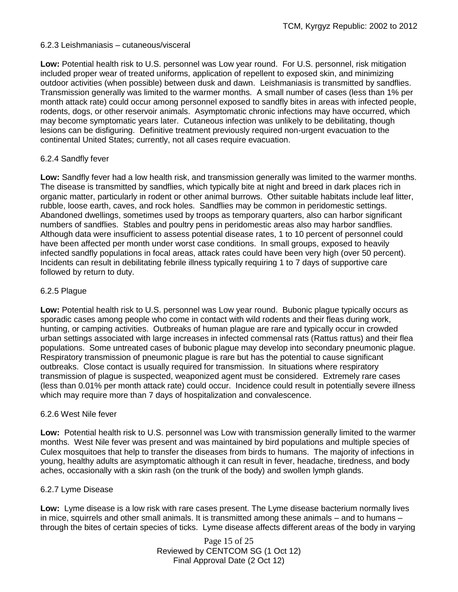## 6.2.3 Leishmaniasis – cutaneous/visceral

**Low:** Potential health risk to U.S. personnel was Low year round. For U.S. personnel, risk mitigation included proper wear of treated uniforms, application of repellent to exposed skin, and minimizing outdoor activities (when possible) between dusk and dawn. Leishmaniasis is transmitted by sandflies. Transmission generally was limited to the warmer months. A small number of cases (less than 1% per month attack rate) could occur among personnel exposed to sandfly bites in areas with infected people, rodents, dogs, or other reservoir animals. Asymptomatic chronic infections may have occurred, which may become symptomatic years later. Cutaneous infection was unlikely to be debilitating, though lesions can be disfiguring. Definitive treatment previously required non-urgent evacuation to the continental United States; currently, not all cases require evacuation.

## 6.2.4 Sandfly fever

**Low:** Sandfly fever had a low health risk, and transmission generally was limited to the warmer months. The disease is transmitted by sandflies, which typically bite at night and breed in dark places rich in organic matter, particularly in rodent or other animal burrows. Other suitable habitats include leaf litter, rubble, loose earth, caves, and rock holes. Sandflies may be common in peridomestic settings. Abandoned dwellings, sometimes used by troops as temporary quarters, also can harbor significant numbers of sandflies. Stables and poultry pens in peridomestic areas also may harbor sandflies. Although data were insufficient to assess potential disease rates, 1 to 10 percent of personnel could have been affected per month under worst case conditions. In small groups, exposed to heavily infected sandfly populations in focal areas, attack rates could have been very high (over 50 percent). Incidents can result in debilitating febrile illness typically requiring 1 to 7 days of supportive care followed by return to duty.

## 6.2.5 Plague

**Low:** Potential health risk to U.S. personnel was Low year round. Bubonic plague typically occurs as sporadic cases among people who come in contact with wild rodents and their fleas during work, hunting, or camping activities. Outbreaks of human plague are rare and typically occur in crowded urban settings associated with large increases in infected commensal rats (Rattus rattus) and their flea populations. Some untreated cases of bubonic plague may develop into secondary pneumonic plague. Respiratory transmission of pneumonic plague is rare but has the potential to cause significant outbreaks. Close contact is usually required for transmission. In situations where respiratory transmission of plague is suspected, weaponized agent must be considered. Extremely rare cases (less than 0.01% per month attack rate) could occur. Incidence could result in potentially severe illness which may require more than 7 days of hospitalization and convalescence.

## 6.2.6 West Nile fever

**Low:** Potential health risk to U.S. personnel was Low with transmission generally limited to the warmer months. West Nile fever was present and was maintained by bird populations and multiple species of Culex mosquitoes that help to transfer the diseases from birds to humans. The majority of infections in young, healthy adults are asymptomatic although it can result in fever, headache, tiredness, and body aches, occasionally with a skin rash (on the trunk of the body) and swollen lymph glands.

## 6.2.7 Lyme Disease

**Low:** Lyme disease is a low risk with rare cases present. The Lyme disease bacterium normally lives in mice, squirrels and other small animals. It is transmitted among these animals – and to humans – through the bites of certain species of ticks. Lyme disease affects different areas of the body in varying

> Page 15 of 25 Reviewed by CENTCOM SG (1 Oct 12) Final Approval Date (2 Oct 12)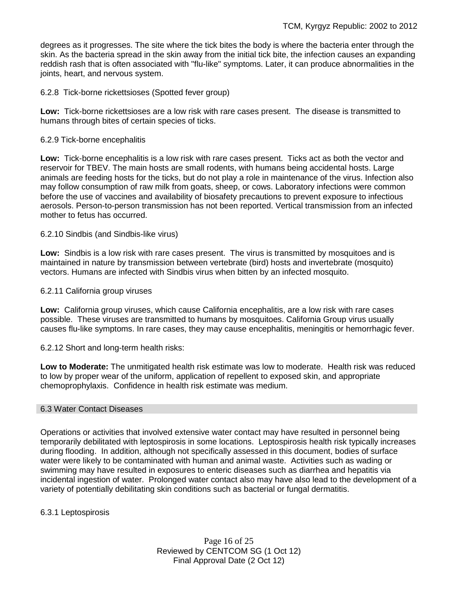degrees as it progresses. The site where the tick bites the body is where the bacteria enter through the skin. As the bacteria spread in the skin away from the initial tick bite, the infection causes an expanding reddish [rash](http://www.medicinenet.com/script/main/art.asp?articlekey=64118) that is often associated with ["flu-](http://www.medicinenet.com/script/main/art.asp?articlekey=365)like" symptoms. Later, it can produce abnormalities in the joints, heart, and nervous system.

6.2.8 Tick-borne rickettsioses (Spotted fever group)

**Low:** Tick-borne rickettsioses are a low risk with rare cases present. The disease is transmitted to humans through bites of certain species of ticks.

## 6.2.9 Tick-borne encephalitis

**Low:** Tick-borne encephalitis is a low risk with rare cases present. Ticks act as both the vector and reservoir for TBEV. The main hosts are small rodents, with humans being accidental hosts. Large animals are feeding hosts for the ticks, but do not play a role in maintenance of the virus. Infection also may follow consumption of raw milk from goats, sheep, or cows. Laboratory infections were common before the use of vaccines and availability of biosafety precautions to prevent exposure to infectious aerosols. Person-to-person transmission has not been reported. Vertical transmission from an infected mother to fetus has occurred.

6.2.10 Sindbis (and Sindbis-like virus)

**Low:** Sindbis is a low risk with rare cases present. The virus is transmitted by mosquitoes and is maintained in nature by transmission between vertebrate (bird) hosts and invertebrate (mosquito) vectors. Humans are infected with Sindbis virus when bitten by an infected mosquito.

6.2.11 California group viruses

**Low:** California group viruses, which cause California encephalitis, are a low risk with rare cases possible. These viruses are transmitted to humans by mosquitoes. California Group virus usually causes flu-like symptoms. In rare cases, they may cause encephalitis, meningitis or hemorrhagic fever.

6.2.12 Short and long-term health risks:

**Low to Moderate:** The unmitigated health risk estimate was low to moderate. Health risk was reduced to low by proper wear of the uniform, application of repellent to exposed skin, and appropriate chemoprophylaxis. Confidence in health risk estimate was medium.

## 6.3 Water Contact Diseases

Operations or activities that involved extensive water contact may have resulted in personnel being temporarily debilitated with leptospirosis in some locations. Leptospirosis health risk typically increases during flooding. In addition, although not specifically assessed in this document, bodies of surface water were likely to be contaminated with human and animal waste. Activities such as wading or swimming may have resulted in exposures to enteric diseases such as diarrhea and hepatitis via incidental ingestion of water. Prolonged water contact also may have also lead to the development of a variety of potentially debilitating skin conditions such as bacterial or fungal dermatitis.

6.3.1 Leptospirosis

Page 16 of 25 Reviewed by CENTCOM SG (1 Oct 12) Final Approval Date (2 Oct 12)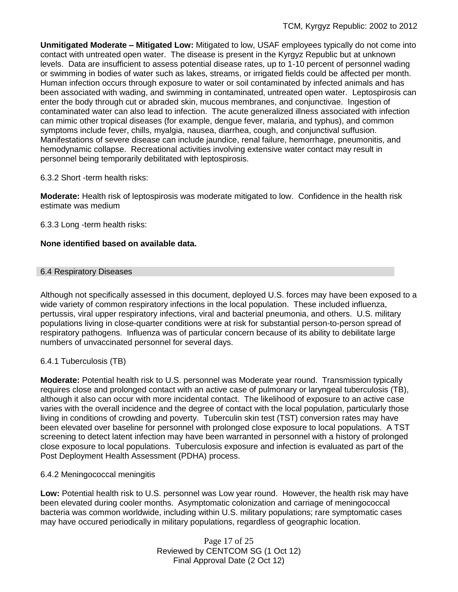**Unmitigated Moderate – Mitigated Low:** Mitigated to low, USAF employees typically do not come into contact with untreated open water. The disease is present in the Kyrgyz Republic but at unknown levels. Data are insufficient to assess potential disease rates, up to 1-10 percent of personnel wading or swimming in bodies of water such as lakes, streams, or irrigated fields could be affected per month. Human infection occurs through exposure to water or soil contaminated by infected animals and has been associated with wading, and swimming in contaminated, untreated open water.Leptospirosis can enter the body through cut or abraded skin, mucous membranes, and conjunctivae. Ingestion of contaminated water can also lead to infection. The acute generalized illness associated with infection can mimic other tropical diseases (for example, dengue fever, malaria, and typhus), and common symptoms include fever, chills, myalgia, nausea, diarrhea, cough, and conjunctival suffusion. Manifestations of severe disease can include jaundice, renal failure, hemorrhage, pneumonitis, and hemodynamic collapse. Recreational activities involving extensive water contact may result in personnel being temporarily debilitated with leptospirosis.

# 6.3.2 Short -term health risks:

**Moderate:** Health risk of leptospirosis was moderate mitigated to low. Confidence in the health risk estimate was medium

6.3.3 Long -term health risks:

## **None identified based on available data.**

## 6.4 Respiratory Diseases

Although not specifically assessed in this document, deployed U.S. forces may have been exposed to a wide variety of common respiratory infections in the local population. These included influenza, pertussis, viral upper respiratory infections, viral and bacterial pneumonia, and others. U.S. military populations living in close-quarter conditions were at risk for substantial person-to-person spread of respiratory pathogens. Influenza was of particular concern because of its ability to debilitate large numbers of unvaccinated personnel for several days.

# 6.4.1 Tuberculosis (TB)

**Moderate:** Potential health risk to U.S. personnel was Moderate year round. Transmission typically requires close and prolonged contact with an active case of pulmonary or laryngeal tuberculosis (TB), although it also can occur with more incidental contact. The likelihood of exposure to an active case varies with the overall incidence and the degree of contact with the local population, particularly those living in conditions of crowding and poverty. Tuberculin skin test (TST) conversion rates may have been elevated over baseline for personnel with prolonged close exposure to local populations. A TST screening to detect latent infection may have been warranted in personnel with a history of prolonged close exposure to local populations. Tuberculosis exposure and infection is evaluated as part of the Post Deployment Health Assessment (PDHA) process.

# 6.4.2 Meningococcal meningitis

**Low:** Potential health risk to U.S. personnel was Low year round. However, the health risk may have been elevated during cooler months. Asymptomatic colonization and carriage of meningococcal bacteria was common worldwide, including within U.S. military populations; rare symptomatic cases may have occured periodically in military populations, regardless of geographic location.

> Page 17 of 25 Reviewed by CENTCOM SG (1 Oct 12) Final Approval Date (2 Oct 12)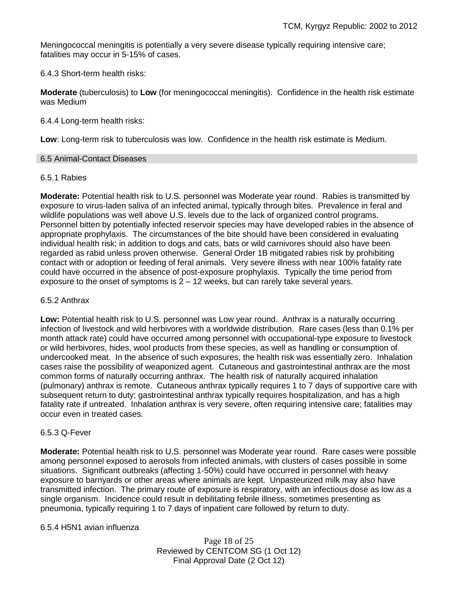Meningococcal meningitis is potentially a very severe disease typically requiring intensive care; fatalities may occur in 5-15% of cases.

6.4.3 Short-term health risks:

**Moderate** (tuberculosis) to **Low** (for meningococcal meningitis). Confidence in the health risk estimate was Medium

6.4.4 Long-term health risks:

**Low**: Long-term risk to tuberculosis was low. Confidence in the health risk estimate is Medium.

## 6.5 Animal-Contact Diseases

## 6.5.1 Rabies

**Moderate:** Potential health risk to U.S. personnel was Moderate year round. Rabies is transmitted by exposure to virus-laden saliva of an infected animal, typically through bites. Prevalence in feral and wildlife populations was well above U.S. levels due to the lack of organized control programs. Personnel bitten by potentially infected reservoir species may have developed rabies in the absence of appropriate prophylaxis. The circumstances of the bite should have been considered in evaluating individual health risk; in addition to dogs and cats, bats or wild carnivores should also have been regarded as rabid unless proven otherwise. General Order 1B mitigated rabies risk by prohibiting contact with or adoption or feeding of feral animals. Very severe illness with near 100% fatality rate could have occurred in the absence of post-exposure prophylaxis. Typically the time period from exposure to the onset of symptoms is  $2 - 12$  weeks, but can rarely take several years.

## 6.5.2 Anthrax

**Low:** Potential health risk to U.S. personnel was Low year round. Anthrax is a naturally occurring infection of livestock and wild herbivores with a worldwide distribution. Rare cases (less than 0.1% per month attack rate) could have occurred among personnel with occupational-type exposure to livestock or wild herbivores, hides, wool products from these species, as well as handling or consumption of undercooked meat. In the absence of such exposures, the health risk was essentially zero. Inhalation cases raise the possibility of weaponized agent. Cutaneous and gastrointestinal anthrax are the most common forms of naturally occurring anthrax. The health risk of naturally acquired inhalation (pulmonary) anthrax is remote. Cutaneous anthrax typically requires 1 to 7 days of supportive care with subsequent return to duty; gastrointestinal anthrax typically requires hospitalization, and has a high fatality rate if untreated. Inhalation anthrax is very severe, often requiring intensive care; fatalities may occur even in treated cases.

## 6.5.3 Q-Fever

**Moderate:** Potential health risk to U.S. personnel was Moderate year round. Rare cases were possible among personnel exposed to aerosols from infected animals, with clusters of cases possible in some situations. Significant outbreaks (affecting 1-50%) could have occurred in personnel with heavy exposure to barnyards or other areas where animals are kept. Unpasteurized milk may also have transmitted infection. The primary route of exposure is respiratory, with an infectious dose as low as a single organism. Incidence could result in debilitating febrile illness, sometimes presenting as pneumonia, typically requiring 1 to 7 days of inpatient care followed by return to duty.

6.5.4 H5N1 avian influenza

Page 18 of 25 Reviewed by CENTCOM SG (1 Oct 12) Final Approval Date (2 Oct 12)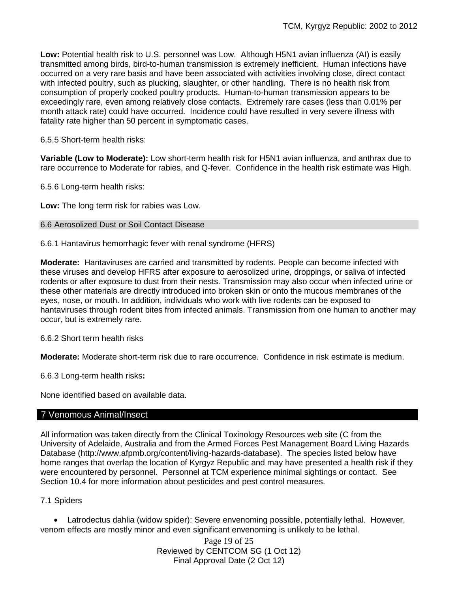**Low:** Potential health risk to U.S. personnel was Low. Although H5N1 avian influenza (AI) is easily transmitted among birds, bird-to-human transmission is extremely inefficient. Human infections have occurred on a very rare basis and have been associated with activities involving close, direct contact with infected poultry, such as plucking, slaughter, or other handling. There is no health risk from consumption of properly cooked poultry products. Human-to-human transmission appears to be exceedingly rare, even among relatively close contacts. Extremely rare cases (less than 0.01% per month attack rate) could have occurred. Incidence could have resulted in very severe illness with fatality rate higher than 50 percent in symptomatic cases.

6.5.5 Short-term health risks:

**Variable (Low to Moderate):** Low short-term health risk for H5N1 avian influenza, and anthrax due to rare occurrence to Moderate for rabies, and Q-fever. Confidence in the health risk estimate was High.

6.5.6 Long-term health risks:

**Low:** The long term risk for rabies was Low.

## 6.6 Aerosolized Dust or Soil Contact Disease

6.6.1 Hantavirus hemorrhagic fever with renal syndrome (HFRS)

**Moderate:** Hantaviruses are carried and transmitted by rodents. People can become infected with these viruses and develop HFRS after exposure to aerosolized urine, droppings, or saliva of infected rodents or after exposure to dust from their nests. Transmission may also occur when infected urine or these other materials are directly introduced into broken skin or onto the mucous membranes of the eyes, nose, or mouth. In addition, individuals who work with live rodents can be exposed to hantaviruses through rodent bites from infected animals. Transmission from one human to another may occur, but is extremely rare.

6.6.2 Short term health risks

**Moderate:** Moderate short-term risk due to rare occurrence.Confidence in risk estimate is medium.

6.6.3 Long-term health risks**:** 

None identified based on available data.

# 7 Venomous Animal/Insect

All information was taken directly from the Clinical Toxinology Resources web site (C from the University of Adelaide, Australia and from the Armed Forces Pest Management Board Living Hazards Database (http://www.afpmb.org/content/living-hazards-database). The species listed below have home ranges that overlap the location of Kyrgyz Republic and may have presented a health risk if they were encountered by personnel. Personnel at TCM experience minimal sightings or contact. See Section 10.4 for more information about pesticides and pest control measures.

7.1 Spiders

 Latrodectus dahlia (widow spider): Severe envenoming possible, potentially lethal. However, venom effects are mostly minor and even significant envenoming is unlikely to be lethal.

> Page 19 of 25 Reviewed by CENTCOM SG (1 Oct 12) Final Approval Date (2 Oct 12)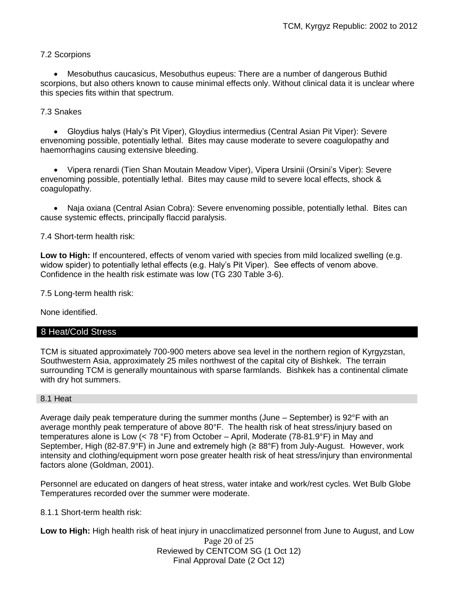# 7.2 Scorpions

 Mesobuthus caucasicus, Mesobuthus eupeus: There are a number of dangerous Buthid scorpions, but also others known to cause minimal effects only. Without clinical data it is unclear where this species fits within that spectrum.

# 7.3 Snakes

 Gloydius halys (Haly's Pit Viper), Gloydius intermedius (Central Asian Pit Viper): Severe envenoming possible, potentially lethal. Bites may cause moderate to severe coagulopathy and haemorrhagins causing extensive bleeding.

 Vipera renardi (Tien Shan Moutain Meadow Viper), Vipera Ursinii (Orsini's Viper): Severe envenoming possible, potentially lethal. Bites may cause mild to severe local effects, shock & coagulopathy.

 Naja oxiana (Central Asian Cobra): Severe envenoming possible, potentially lethal. Bites can cause systemic effects, principally flaccid paralysis.

# 7.4 Short-term health risk:

**Low to High:** If encountered, effects of venom varied with species from mild localized swelling (e.g. widow spider) to potentially lethal effects (e.g. Haly's Pit Viper). See effects of venom above. Confidence in the health risk estimate was low (TG 230 Table 3-6).

7.5 Long-term health risk:

None identified.

# 8 Heat/Cold Stress

TCM is situated approximately 700-900 meters above sea level in the northern region of Kyrgyzstan, Southwestern Asia, approximately 25 miles northwest of the capital city of Bishkek. The terrain surrounding TCM is generally mountainous with sparse farmlands. Bishkek has a continental climate with dry hot summers.

# 8.1 Heat

Average daily peak temperature during the summer months (June – September) is 92°F with an average monthly peak temperature of above 80°F. The health risk of heat stress/injury based on temperatures alone is Low (< 78 °F) from October – April, Moderate (78-81.9°F) in May and September, High (82-87.9°F) in June and extremely high (≥ 88°F) from July-August. However, work intensity and clothing/equipment worn pose greater health risk of heat stress/injury than environmental factors alone (Goldman, 2001).

Personnel are educated on dangers of heat stress, water intake and work/rest cycles. Wet Bulb Globe Temperatures recorded over the summer were moderate.

# 8.1.1 Short-term health risk:

**Low to High:** High health risk of heat injury in unacclimatized personnel from June to August, and Low

Page 20 of 25 Reviewed by CENTCOM SG (1 Oct 12) Final Approval Date (2 Oct 12)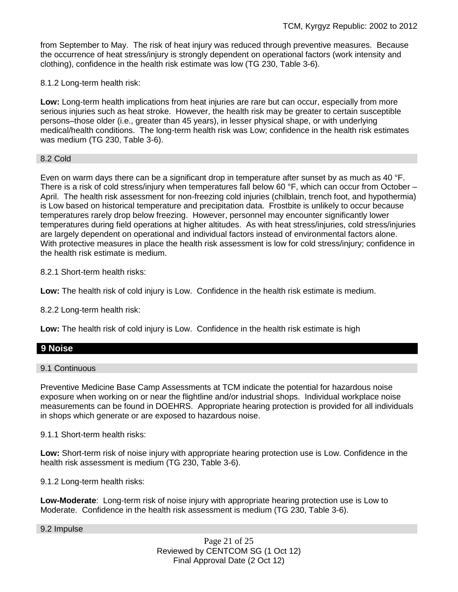from September to May. The risk of heat injury was reduced through preventive measures. Because the occurrence of heat stress/injury is strongly dependent on operational factors (work intensity and clothing), confidence in the health risk estimate was low (TG 230, Table 3-6).

8.1.2 Long-term health risk:

**Low:** Long-term health implications from heat injuries are rare but can occur, especially from more serious injuries such as heat stroke. However, the health risk may be greater to certain susceptible persons–those older (i.e., greater than 45 years), in lesser physical shape, or with underlying medical/health conditions. The long-term health risk was Low; confidence in the health risk estimates was medium (TG 230, Table 3-6).

## 8.2 Cold

Even on warm days there can be a significant drop in temperature after sunset by as much as 40 °F. There is a risk of cold stress/injury when temperatures fall below 60 °F, which can occur from October – April. The health risk assessment for non-freezing cold injuries (chilblain, trench foot, and hypothermia) is Low based on historical temperature and precipitation data. Frostbite is unlikely to occur because temperatures rarely drop below freezing. However, personnel may encounter significantly lower temperatures during field operations at higher altitudes. As with heat stress/injuries, cold stress/injuries are largely dependent on operational and individual factors instead of environmental factors alone. With protective measures in place the health risk assessment is low for cold stress/injury; confidence in the health risk estimate is medium.

8.2.1 Short-term health risks:

**Low:** The health risk of cold injury is Low. Confidence in the health risk estimate is medium.

8.2.2 Long-term health risk:

**Low:** The health risk of cold injury is Low. Confidence in the health risk estimate is high

# **9 Noise**

9.1 Continuous

Preventive Medicine Base Camp Assessments at TCM indicate the potential for hazardous noise exposure when working on or near the flightline and/or industrial shops. Individual workplace noise measurements can be found in DOEHRS. Appropriate hearing protection is provided for all individuals in shops which generate or are exposed to hazardous noise.

9.1.1 Short-term health risks:

**Low:** Short-term risk of noise injury with appropriate hearing protection use is Low. Confidence in the health risk assessment is medium (TG 230, Table 3-6).

9.1.2 Long-term health risks:

**Low-Moderate**: Long-term risk of noise injury with appropriate hearing protection use is Low to Moderate. Confidence in the health risk assessment is medium (TG 230, Table 3-6).

9.2 Impulse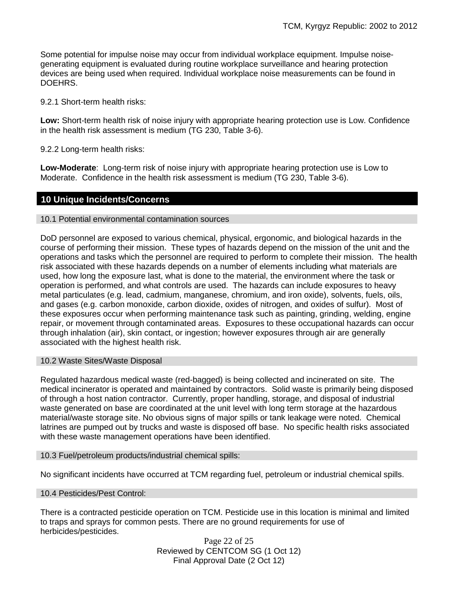Some potential for impulse noise may occur from individual workplace equipment. Impulse noisegenerating equipment is evaluated during routine workplace surveillance and hearing protection devices are being used when required. Individual workplace noise measurements can be found in DOEHRS.

9.2.1 Short-term health risks:

**Low:** Short-term health risk of noise injury with appropriate hearing protection use is Low. Confidence in the health risk assessment is medium (TG 230, Table 3-6).

9.2.2 Long-term health risks:

**Low-Moderate**: Long-term risk of noise injury with appropriate hearing protection use is Low to Moderate. Confidence in the health risk assessment is medium (TG 230, Table 3-6).

# **10 Unique Incidents/Concerns**

## 10.1 Potential environmental contamination sources

DoD personnel are exposed to various chemical, physical, ergonomic, and biological hazards in the course of performing their mission. These types of hazards depend on the mission of the unit and the operations and tasks which the personnel are required to perform to complete their mission. The health risk associated with these hazards depends on a number of elements including what materials are used, how long the exposure last, what is done to the material, the environment where the task or operation is performed, and what controls are used. The hazards can include exposures to heavy metal particulates (e.g. lead, cadmium, manganese, chromium, and iron oxide), solvents, fuels, oils, and gases (e.g. carbon monoxide, carbon dioxide, oxides of nitrogen, and oxides of sulfur). Most of these exposures occur when performing maintenance task such as painting, grinding, welding, engine repair, or movement through contaminated areas. Exposures to these occupational hazards can occur through inhalation (air), skin contact, or ingestion; however exposures through air are generally associated with the highest health risk.

## 10.2 Waste Sites/Waste Disposal

Regulated hazardous medical waste (red-bagged) is being collected and incinerated on site. The medical incinerator is operated and maintained by contractors. Solid waste is primarily being disposed of through a host nation contractor. Currently, proper handling, storage, and disposal of industrial waste generated on base are coordinated at the unit level with long term storage at the hazardous material/waste storage site. No obvious signs of major spills or tank leakage were noted. Chemical latrines are pumped out by trucks and waste is disposed off base. No specific health risks associated with these waste management operations have been identified.

## 10.3 Fuel/petroleum products/industrial chemical spills:

No significant incidents have occurred at TCM regarding fuel, petroleum or industrial chemical spills.

## 10.4 Pesticides/Pest Control:

There is a contracted pesticide operation on TCM. Pesticide use in this location is minimal and limited to traps and sprays for common pests. There are no ground requirements for use of herbicides/pesticides.

Page 22 of 25 Reviewed by CENTCOM SG (1 Oct 12) Final Approval Date (2 Oct 12)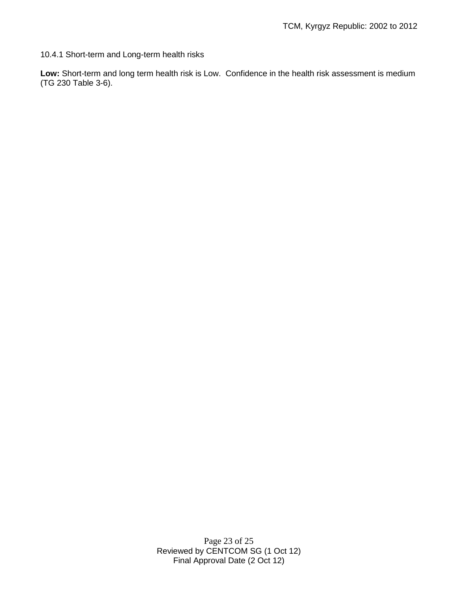10.4.1 Short-term and Long-term health risks

**Low:** Short-term and long term health risk is Low. Confidence in the health risk assessment is medium (TG 230 Table 3-6).

> Page 23 of 25 Reviewed by CENTCOM SG (1 Oct 12) Final Approval Date (2 Oct 12)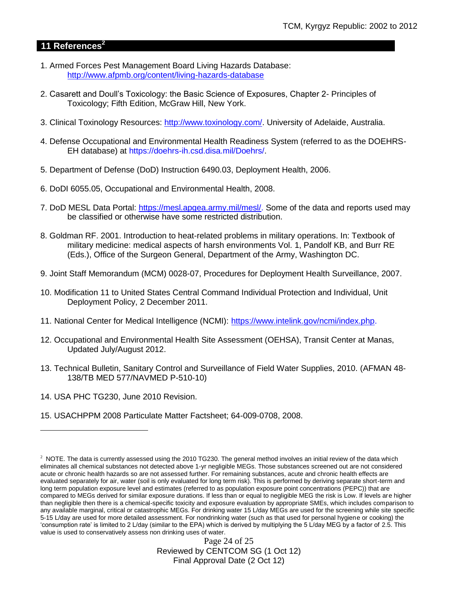# **11 References<sup>2</sup>**

- 1. Armed Forces Pest Management Board Living Hazards Database: <http://www.afpmb.org/content/living-hazards-database>
- 2. Casarett and Doull's Toxicology: the Basic Science of Exposures, Chapter 2- Principles of Toxicology; Fifth Edition, McGraw Hill, New York.
- 3. Clinical Toxinology Resources: [http://www.toxinology.com/.](http://www.toxinology.com/) University of Adelaide, Australia.
- 4. Defense Occupational and Environmental Health Readiness System (referred to as the DOEHRS-EH database) at https://doehrs-ih.csd.disa.mil/Doehrs/.
- 5. Department of Defense (DoD) Instruction 6490.03, Deployment Health, 2006.
- 6. DoDI 6055.05, Occupational and Environmental Health, 2008.
- 7. DoD MESL Data Portal: [https://mesl.apgea.army.mil/mesl/.](https://mesl.apgea.army.mil/mesl/) Some of the data and reports used may be classified or otherwise have some restricted distribution.
- 8. Goldman RF. 2001. Introduction to heat-related problems in military operations. In: Textbook of military medicine: medical aspects of harsh environments Vol. 1, Pandolf KB, and Burr RE (Eds.), Office of the Surgeon General, Department of the Army, Washington DC.
- 9. Joint Staff Memorandum (MCM) 0028-07, Procedures for Deployment Health Surveillance, 2007.
- 10. Modification 11 to United States Central Command Individual Protection and Individual, Unit Deployment Policy, 2 December 2011.
- 11. National Center for Medical Intelligence (NCMI): [https://www.intelink.gov/ncmi/index.php.](https://www.intelink.gov/ncmi/index.php)
- 12. Occupational and Environmental Health Site Assessment (OEHSA), Transit Center at Manas, Updated July/August 2012.
- 13. Technical Bulletin, Sanitary Control and Surveillance of Field Water Supplies, 2010. (AFMAN 48- 138/TB MED 577/NAVMED P-510-10)
- 14. USA PHC TG230, June 2010 Revision.

 $\overline{a}$ 

15. USACHPPM 2008 Particulate Matter Factsheet; 64-009-0708, 2008.

Page 24 of 25 Reviewed by CENTCOM SG (1 Oct 12) Final Approval Date (2 Oct 12)

 $2$  NOTE. The data is currently assessed using the 2010 TG230. The general method involves an initial review of the data which eliminates all chemical substances not detected above 1-yr negligible MEGs. Those substances screened out are not considered acute or chronic health hazards so are not assessed further. For remaining substances, acute and chronic health effects are evaluated separately for air, water (soil is only evaluated for long term risk). This is performed by deriving separate short-term and long term population exposure level and estimates (referred to as population exposure point concentrations (PEPC)) that are compared to MEGs derived for similar exposure durations. If less than or equal to negligible MEG the risk is Low. If levels are higher than negligible then there is a chemical-specific toxicity and exposure evaluation by appropriate SMEs, which includes comparison to any available marginal, critical or catastrophic MEGs. For drinking water 15 L/day MEGs are used for the screening while site specific 5-15 L/day are used for more detailed assessment. For nondrinking water (such as that used for personal hygiene or cooking) the 'consumption rate' is limited to 2 L/day (similar to the EPA) which is derived by multiplying the 5 L/day MEG by a factor of 2.5. This value is used to conservatively assess non drinking uses of water.